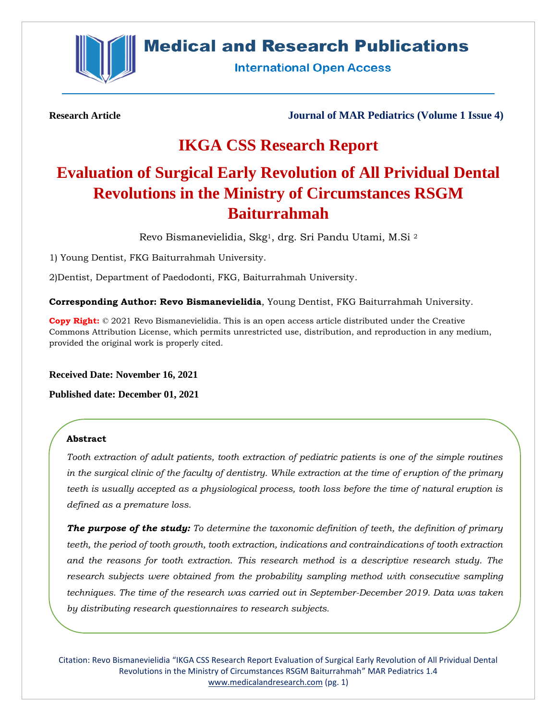

## **Medical and Research Publications**

**International Open Access** 

**Research Article Journal of MAR Pediatrics (Volume 1 Issue 4)**

## **IKGA CSS Research Report**

# **Evaluation of Surgical Early Revolution of All Prividual Dental Revolutions in the Ministry of Circumstances RSGM Baiturrahmah**

Revo Bismanevielidia, Skg1, drg. Sri Pandu Utami, M.Si <sup>2</sup>

1) Young Dentist, FKG Baiturrahmah University.

2)Dentist, Department of Paedodonti, FKG, Baiturrahmah University.

**Corresponding Author: Revo Bismanevielidia**, Young Dentist, FKG Baiturrahmah University.

**Copy Right:** © 2021 Revo Bismanevielidia. This is an open access article distributed under the Creative Commons Attribution License, which permits unrestricted use, distribution, and reproduction in any medium, provided the original work is properly cited.

**Received Date: November 16, 2021**

**Published date: December 01, 2021**

## **Abstract**

*Tooth extraction of adult patients, tooth extraction of pediatric patients is one of the simple routines in the surgical clinic of the faculty of dentistry. While extraction at the time of eruption of the primary teeth is usually accepted as a physiological process, tooth loss before the time of natural eruption is defined as a premature loss.* 

*The purpose of the study: To determine the taxonomic definition of teeth, the definition of primary teeth, the period of tooth growth, tooth extraction, indications and contraindications of tooth extraction and the reasons for tooth extraction. This research method is a descriptive research study. The research subjects were obtained from the probability sampling method with consecutive sampling techniques. The time of the research was carried out in September-December 2019. Data was taken by distributing research questionnaires to research subjects.* 

Citation: Revo Bismanevielidia "IKGA CSS Research Report Evaluation of Surgical Early Revolution of All Prividual Dental Revolutions in the Ministry of Circumstances RSGM Baiturrahmah" MAR Pediatrics 1.4 [www.medicalandresearch.com](http://www.medicalandresearch.com/) (pg. 1)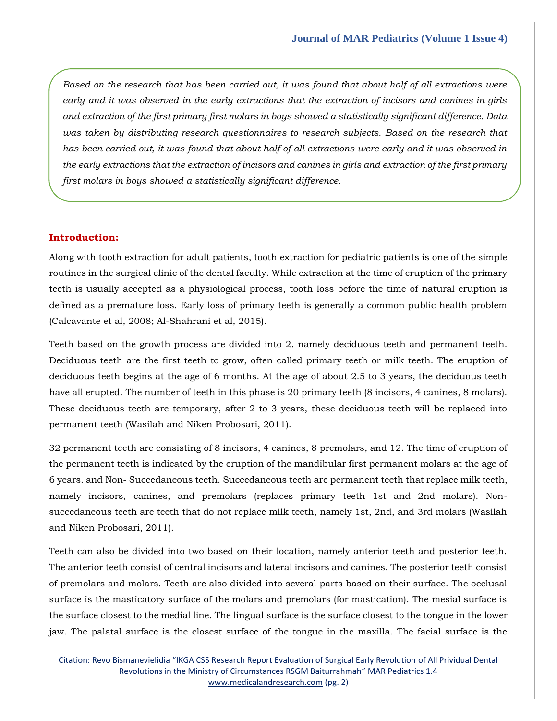*Based on the research that has been carried out, it was found that about half of all extractions were early and it was observed in the early extractions that the extraction of incisors and canines in girls and extraction of the first primary first molars in boys showed a statistically significant difference. Data was taken by distributing research questionnaires to research subjects. Based on the research that has been carried out, it was found that about half of all extractions were early and it was observed in the early extractions that the extraction of incisors and canines in girls and extraction of the first primary first molars in boys showed a statistically significant difference.*

## **Introduction:**

Along with tooth extraction for adult patients, tooth extraction for pediatric patients is one of the simple routines in the surgical clinic of the dental faculty. While extraction at the time of eruption of the primary teeth is usually accepted as a physiological process, tooth loss before the time of natural eruption is defined as a premature loss. Early loss of primary teeth is generally a common public health problem (Calcavante et al, 2008; Al-Shahrani et al, 2015).

Teeth based on the growth process are divided into 2, namely deciduous teeth and permanent teeth. Deciduous teeth are the first teeth to grow, often called primary teeth or milk teeth. The eruption of deciduous teeth begins at the age of 6 months. At the age of about 2.5 to 3 years, the deciduous teeth have all erupted. The number of teeth in this phase is 20 primary teeth (8 incisors, 4 canines, 8 molars). These deciduous teeth are temporary, after 2 to 3 years, these deciduous teeth will be replaced into permanent teeth (Wasilah and Niken Probosari, 2011).

32 permanent teeth are consisting of 8 incisors, 4 canines, 8 premolars, and 12. The time of eruption of the permanent teeth is indicated by the eruption of the mandibular first permanent molars at the age of 6 years. and Non- Succedaneous teeth. Succedaneous teeth are permanent teeth that replace milk teeth, namely incisors, canines, and premolars (replaces primary teeth 1st and 2nd molars). Nonsuccedaneous teeth are teeth that do not replace milk teeth, namely 1st, 2nd, and 3rd molars (Wasilah and Niken Probosari, 2011).

Teeth can also be divided into two based on their location, namely anterior teeth and posterior teeth. The anterior teeth consist of central incisors and lateral incisors and canines. The posterior teeth consist of premolars and molars. Teeth are also divided into several parts based on their surface. The occlusal surface is the masticatory surface of the molars and premolars (for mastication). The mesial surface is the surface closest to the medial line. The lingual surface is the surface closest to the tongue in the lower jaw. The palatal surface is the closest surface of the tongue in the maxilla. The facial surface is the

Citation: Revo Bismanevielidia "IKGA CSS Research Report Evaluation of Surgical Early Revolution of All Prividual Dental Revolutions in the Ministry of Circumstances RSGM Baiturrahmah" MAR Pediatrics 1.4 [www.medicalandresearch.com](http://www.medicalandresearch.com/) (pg. 2)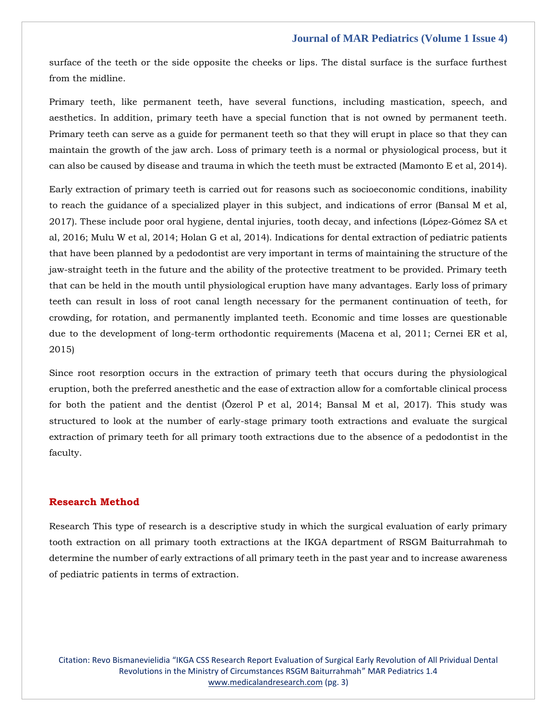surface of the teeth or the side opposite the cheeks or lips. The distal surface is the surface furthest from the midline.

Primary teeth, like permanent teeth, have several functions, including mastication, speech, and aesthetics. In addition, primary teeth have a special function that is not owned by permanent teeth. Primary teeth can serve as a guide for permanent teeth so that they will erupt in place so that they can maintain the growth of the jaw arch. Loss of primary teeth is a normal or physiological process, but it can also be caused by disease and trauma in which the teeth must be extracted (Mamonto E et al, 2014).

Early extraction of primary teeth is carried out for reasons such as socioeconomic conditions, inability to reach the guidance of a specialized player in this subject, and indications of error (Bansal M et al, 2017). These include poor oral hygiene, dental injuries, tooth decay, and infections (López-Gómez SA et al, 2016; Mulu W et al, 2014; Holan G et al, 2014). Indications for dental extraction of pediatric patients that have been planned by a pedodontist are very important in terms of maintaining the structure of the jaw-straight teeth in the future and the ability of the protective treatment to be provided. Primary teeth that can be held in the mouth until physiological eruption have many advantages. Early loss of primary teeth can result in loss of root canal length necessary for the permanent continuation of teeth, for crowding, for rotation, and permanently implanted teeth. Economic and time losses are questionable due to the development of long-term orthodontic requirements (Macena et al, 2011; Cernei ER et al, 2015)

Since root resorption occurs in the extraction of primary teeth that occurs during the physiological eruption, both the preferred anesthetic and the ease of extraction allow for a comfortable clinical process for both the patient and the dentist (Özerol P et al, 2014; Bansal M et al, 2017). This study was structured to look at the number of early-stage primary tooth extractions and evaluate the surgical extraction of primary teeth for all primary tooth extractions due to the absence of a pedodontist in the faculty.

## **Research Method**

Research This type of research is a descriptive study in which the surgical evaluation of early primary tooth extraction on all primary tooth extractions at the IKGA department of RSGM Baiturrahmah to determine the number of early extractions of all primary teeth in the past year and to increase awareness of pediatric patients in terms of extraction.

Citation: Revo Bismanevielidia "IKGA CSS Research Report Evaluation of Surgical Early Revolution of All Prividual Dental Revolutions in the Ministry of Circumstances RSGM Baiturrahmah" MAR Pediatrics 1.4 [www.medicalandresearch.com](http://www.medicalandresearch.com/) (pg. 3)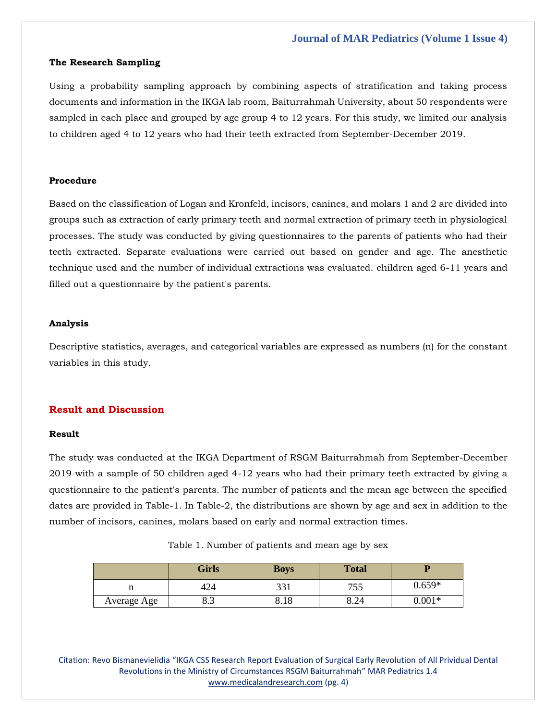## **The Research Sampling**

Using a probability sampling approach by combining aspects of stratification and taking process documents and information in the IKGA lab room, Baiturrahmah University, about 50 respondents were sampled in each place and grouped by age group 4 to 12 years. For this study, we limited our analysis to children aged 4 to 12 years who had their teeth extracted from September-December 2019.

### **Procedure**

Based on the classification of Logan and Kronfeld, incisors, canines, and molars 1 and 2 are divided into groups such as extraction of early primary teeth and normal extraction of primary teeth in physiological processes. The study was conducted by giving questionnaires to the parents of patients who had their teeth extracted. Separate evaluations were carried out based on gender and age. The anesthetic technique used and the number of individual extractions was evaluated. children aged 6-11 years and filled out a questionnaire by the patient's parents.

## **Analysis**

Descriptive statistics, averages, and categorical variables are expressed as numbers (n) for the constant variables in this study.

## **Result and Discussion**

## **Result**

The study was conducted at the IKGA Department of RSGM Baiturrahmah from September-December 2019 with a sample of 50 children aged 4-12 years who had their primary teeth extracted by giving a questionnaire to the patient's parents. The number of patients and the mean age between the specified dates are provided in Table-1. In Table-2, the distributions are shown by age and sex in addition to the number of incisors, canines, molars based on early and normal extraction times.

|  |  | Table 1. Number of patients and mean age by sex |  |  |  |  |  |  |  |
|--|--|-------------------------------------------------|--|--|--|--|--|--|--|
|--|--|-------------------------------------------------|--|--|--|--|--|--|--|

|             | <b>Girls</b> | <b>Boys</b> | <b>Total</b> |          |
|-------------|--------------|-------------|--------------|----------|
|             | 424          | 331         | 755<br>נגי   | $0.659*$ |
| Average Age | ပ.ၪ          | 8.18        | 8.24         | $0.001*$ |

Citation: Revo Bismanevielidia "IKGA CSS Research Report Evaluation of Surgical Early Revolution of All Prividual Dental Revolutions in the Ministry of Circumstances RSGM Baiturrahmah" MAR Pediatrics 1.4 [www.medicalandresearch.com](http://www.medicalandresearch.com/) (pg. 4)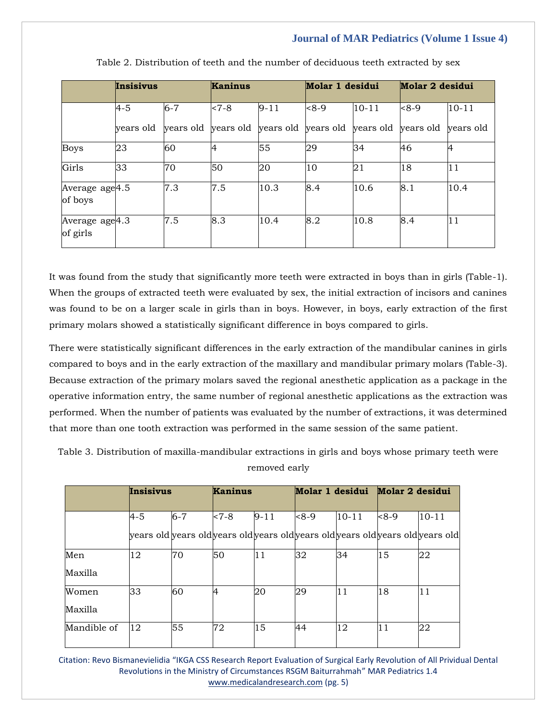|                                        | Insisivus |         | <b>Kaninus</b> |          | Molar 1 desidui                                   |           | Molar 2 desidui |           |
|----------------------------------------|-----------|---------|----------------|----------|---------------------------------------------------|-----------|-----------------|-----------|
|                                        | $4 - 5$   | $6 - 7$ | $< 7 - 8$      | $9 - 11$ | $8 - 9$                                           | $10 - 11$ | $8 - 9$         | $10 - 11$ |
|                                        | years old |         |                |          | years old years old years old years old years old |           | years old       | vears old |
| <b>Boys</b>                            | 23        | 60      | 4              | 55       | 29                                                | 34        | 46              | 4         |
| Girls                                  | 33        | 70      | 50             | 20       | 10                                                | 21        | 18              | 11        |
| Average age <sup>4.5</sup><br>of boys  |           | 7.3     | 7.5            | 10.3     | 8.4                                               | 10.6      | 8.1             | 10.4      |
| Average age <sup>4.3</sup><br>of girls |           | 7.5     | 8.3            | 10.4     | 8.2                                               | 10.8      | 8.4             | 11        |

Table 2. Distribution of teeth and the number of deciduous teeth extracted by sex

It was found from the study that significantly more teeth were extracted in boys than in girls (Table-1). When the groups of extracted teeth were evaluated by sex, the initial extraction of incisors and canines was found to be on a larger scale in girls than in boys. However, in boys, early extraction of the first primary molars showed a statistically significant difference in boys compared to girls.

There were statistically significant differences in the early extraction of the mandibular canines in girls compared to boys and in the early extraction of the maxillary and mandibular primary molars (Table-3). Because extraction of the primary molars saved the regional anesthetic application as a package in the operative information entry, the same number of regional anesthetic applications as the extraction was performed. When the number of patients was evaluated by the number of extractions, it was determined that more than one tooth extraction was performed in the same session of the same patient.

Table 3. Distribution of maxilla-mandibular extractions in girls and boys whose primary teeth were removed early

|             | Insisivus                                                                       |         | <b>Kaninus</b> |          | Molar 1 desidui Molar 2 desidui |           |        |           |
|-------------|---------------------------------------------------------------------------------|---------|----------------|----------|---------------------------------|-----------|--------|-----------|
|             | $4 - 5$                                                                         | $6 - 7$ | $< 7-8$        | $9 - 11$ | $8 - 9$                         | $10 - 11$ | $<8-9$ | $10 - 11$ |
|             | years old years old years old years old years old years old years old years old |         |                |          |                                 |           |        |           |
| Men         | 12                                                                              | 70      | 50             | 11       | 32                              | 34        | 15     | 22        |
| Maxilla     |                                                                                 |         |                |          |                                 |           |        |           |
| Women       | 33                                                                              | 60      | 4              | 20       | 29                              | 11        | 18     | 11        |
| Maxilla     |                                                                                 |         |                |          |                                 |           |        |           |
| Mandible of | 12                                                                              | 55      | 72             | 15       | 44                              | 12        | 11     | 22        |

Citation: Revo Bismanevielidia "IKGA CSS Research Report Evaluation of Surgical Early Revolution of All Prividual Dental Revolutions in the Ministry of Circumstances RSGM Baiturrahmah" MAR Pediatrics 1.4 [www.medicalandresearch.com](http://www.medicalandresearch.com/) (pg. 5)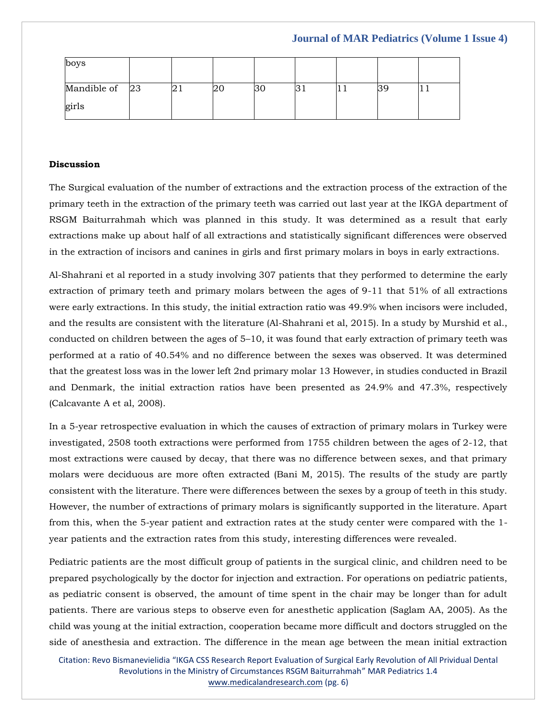| boys           |   |      |  |  |     |
|----------------|---|------|--|--|-----|
| Mandible of 23 | - | -∠⊾∪ |  |  | + + |
| girls          |   |      |  |  |     |

## **Discussion**

The Surgical evaluation of the number of extractions and the extraction process of the extraction of the primary teeth in the extraction of the primary teeth was carried out last year at the IKGA department of RSGM Baiturrahmah which was planned in this study. It was determined as a result that early extractions make up about half of all extractions and statistically significant differences were observed in the extraction of incisors and canines in girls and first primary molars in boys in early extractions.

Al-Shahrani et al reported in a study involving 307 patients that they performed to determine the early extraction of primary teeth and primary molars between the ages of 9-11 that 51% of all extractions were early extractions. In this study, the initial extraction ratio was 49.9% when incisors were included, and the results are consistent with the literature (Al-Shahrani et al, 2015). In a study by Murshid et al., conducted on children between the ages of 5–10, it was found that early extraction of primary teeth was performed at a ratio of 40.54% and no difference between the sexes was observed. It was determined that the greatest loss was in the lower left 2nd primary molar 13 However, in studies conducted in Brazil and Denmark, the initial extraction ratios have been presented as 24.9% and 47.3%, respectively (Calcavante A et al, 2008).

In a 5-year retrospective evaluation in which the causes of extraction of primary molars in Turkey were investigated, 2508 tooth extractions were performed from 1755 children between the ages of 2-12, that most extractions were caused by decay, that there was no difference between sexes, and that primary molars were deciduous are more often extracted (Bani M, 2015). The results of the study are partly consistent with the literature. There were differences between the sexes by a group of teeth in this study. However, the number of extractions of primary molars is significantly supported in the literature. Apart from this, when the 5-year patient and extraction rates at the study center were compared with the 1 year patients and the extraction rates from this study, interesting differences were revealed.

Pediatric patients are the most difficult group of patients in the surgical clinic, and children need to be prepared psychologically by the doctor for injection and extraction. For operations on pediatric patients, as pediatric consent is observed, the amount of time spent in the chair may be longer than for adult patients. There are various steps to observe even for anesthetic application (Saglam AA, 2005). As the child was young at the initial extraction, cooperation became more difficult and doctors struggled on the side of anesthesia and extraction. The difference in the mean age between the mean initial extraction

Citation: Revo Bismanevielidia "IKGA CSS Research Report Evaluation of Surgical Early Revolution of All Prividual Dental Revolutions in the Ministry of Circumstances RSGM Baiturrahmah" MAR Pediatrics 1.4 [www.medicalandresearch.com](http://www.medicalandresearch.com/) (pg. 6)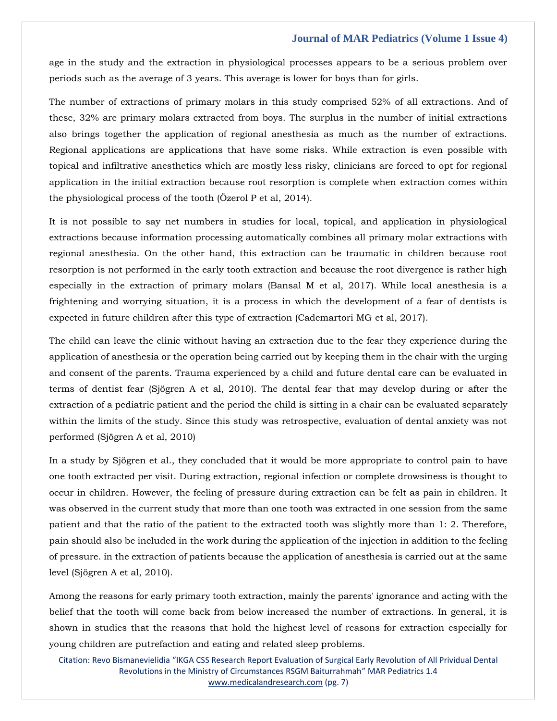age in the study and the extraction in physiological processes appears to be a serious problem over periods such as the average of 3 years. This average is lower for boys than for girls.

The number of extractions of primary molars in this study comprised 52% of all extractions. And of these, 32% are primary molars extracted from boys. The surplus in the number of initial extractions also brings together the application of regional anesthesia as much as the number of extractions. Regional applications are applications that have some risks. While extraction is even possible with topical and infiltrative anesthetics which are mostly less risky, clinicians are forced to opt for regional application in the initial extraction because root resorption is complete when extraction comes within the physiological process of the tooth (Özerol P et al, 2014).

It is not possible to say net numbers in studies for local, topical, and application in physiological extractions because information processing automatically combines all primary molar extractions with regional anesthesia. On the other hand, this extraction can be traumatic in children because root resorption is not performed in the early tooth extraction and because the root divergence is rather high especially in the extraction of primary molars (Bansal M et al, 2017). While local anesthesia is a frightening and worrying situation, it is a process in which the development of a fear of dentists is expected in future children after this type of extraction (Cademartori MG et al, 2017).

The child can leave the clinic without having an extraction due to the fear they experience during the application of anesthesia or the operation being carried out by keeping them in the chair with the urging and consent of the parents. Trauma experienced by a child and future dental care can be evaluated in terms of dentist fear (Sjögren A et al, 2010). The dental fear that may develop during or after the extraction of a pediatric patient and the period the child is sitting in a chair can be evaluated separately within the limits of the study. Since this study was retrospective, evaluation of dental anxiety was not performed (Sjögren A et al, 2010)

In a study by Sjögren et al., they concluded that it would be more appropriate to control pain to have one tooth extracted per visit. During extraction, regional infection or complete drowsiness is thought to occur in children. However, the feeling of pressure during extraction can be felt as pain in children. It was observed in the current study that more than one tooth was extracted in one session from the same patient and that the ratio of the patient to the extracted tooth was slightly more than 1: 2. Therefore, pain should also be included in the work during the application of the injection in addition to the feeling of pressure. in the extraction of patients because the application of anesthesia is carried out at the same level (Sjögren A et al, 2010).

Among the reasons for early primary tooth extraction, mainly the parents' ignorance and acting with the belief that the tooth will come back from below increased the number of extractions. In general, it is shown in studies that the reasons that hold the highest level of reasons for extraction especially for young children are putrefaction and eating and related sleep problems.

Citation: Revo Bismanevielidia "IKGA CSS Research Report Evaluation of Surgical Early Revolution of All Prividual Dental Revolutions in the Ministry of Circumstances RSGM Baiturrahmah" MAR Pediatrics 1.4 [www.medicalandresearch.com](http://www.medicalandresearch.com/) (pg. 7)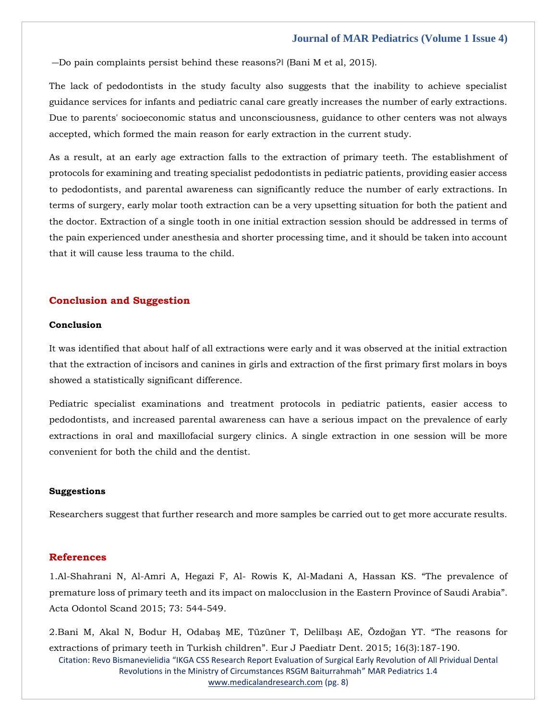―Do pain complaints persist behind these reasons?‖ (Bani M et al, 2015).

The lack of pedodontists in the study faculty also suggests that the inability to achieve specialist guidance services for infants and pediatric canal care greatly increases the number of early extractions. Due to parents' socioeconomic status and unconsciousness, guidance to other centers was not always accepted, which formed the main reason for early extraction in the current study.

As a result, at an early age extraction falls to the extraction of primary teeth. The establishment of protocols for examining and treating specialist pedodontists in pediatric patients, providing easier access to pedodontists, and parental awareness can significantly reduce the number of early extractions. In terms of surgery, early molar tooth extraction can be a very upsetting situation for both the patient and the doctor. Extraction of a single tooth in one initial extraction session should be addressed in terms of the pain experienced under anesthesia and shorter processing time, and it should be taken into account that it will cause less trauma to the child.

## **Conclusion and Suggestion**

## **Conclusion**

It was identified that about half of all extractions were early and it was observed at the initial extraction that the extraction of incisors and canines in girls and extraction of the first primary first molars in boys showed a statistically significant difference.

Pediatric specialist examinations and treatment protocols in pediatric patients, easier access to pedodontists, and increased parental awareness can have a serious impact on the prevalence of early extractions in oral and maxillofacial surgery clinics. A single extraction in one session will be more convenient for both the child and the dentist.

#### **Suggestions**

Researchers suggest that further research and more samples be carried out to get more accurate results.

#### **References**

1[.Al-Shahrani N, Al-Amri A, Hegazi F, Al-](https://www.google.com/search?q=The+prevalence+of+premature+loss+of+primary+teeth+and+its+impact+on+malocclusion+in+the+Eastern+Province+of+Saudi+Arabia&oq=The+prevalence+of+premature+loss+of+primary+teeth+and+its+impact+on+malocclusion+in+the+Eastern+Province+of+Saudi+Arabia&aqs=chrome..69i57.441j0j7&sourceid=chrome&ie=UTF-8) Rowis K, Al-Madani A, Hassan KS. "The prevalence of [premature loss of primary teeth and its impact on malocclusion in the Eastern Province of Saudi Arabia](https://www.google.com/search?q=The+prevalence+of+premature+loss+of+primary+teeth+and+its+impact+on+malocclusion+in+the+Eastern+Province+of+Saudi+Arabia&oq=The+prevalence+of+premature+loss+of+primary+teeth+and+its+impact+on+malocclusion+in+the+Eastern+Province+of+Saudi+Arabia&aqs=chrome..69i57.441j0j7&sourceid=chrome&ie=UTF-8)". [Acta Odontol Scand 2015; 73:](https://www.google.com/search?q=The+prevalence+of+premature+loss+of+primary+teeth+and+its+impact+on+malocclusion+in+the+Eastern+Province+of+Saudi+Arabia&oq=The+prevalence+of+premature+loss+of+primary+teeth+and+its+impact+on+malocclusion+in+the+Eastern+Province+of+Saudi+Arabia&aqs=chrome..69i57.441j0j7&sourceid=chrome&ie=UTF-8) 544-549.

2.[Bani M, Akal N, Bodur H, Odabaş ME, Tüzüner T, Delilbaşı AE, Özdoğan YT. "](https://www.google.com/search?q=The+reasons+for+extractions+of+primary+teeth+in+Turkish+children&sxsrf=AOaemvL-s1szici6rd08ZSf3x_TTmtP3zw%3A1637577019902&ei=O3GbYamwNomq4t4P8oKkiAI&ved=0ahUKEwjpucDk4av0AhUJldgFHXIBCSEQ4dUDCA4&uact=5&oq=The+reasons+for+extractions+of+primary+teeth+in+Turkish+children&gs_lcp=Cgdnd3Mtd2l6EAM6BwgjEOoCECdKBAhBGABQyAVYyAVggwhoAXAAeACAAegBiAHoAZIBAzItMZgBAKABAaABArABCsABAQ&sclient=gws-wiz)The reasons for extractions of primary teeth in Turkish children". Eur J Paediatr Dent. 2015; 16(3):187-190.

Citation: Revo Bismanevielidia "[IKGA CSS Research Report Evaluation of Surgical Early Revolution](https://www.google.com/search?q=The+reasons+for+extractions+of+primary+teeth+in+Turkish+children&sxsrf=AOaemvL-s1szici6rd08ZSf3x_TTmtP3zw%3A1637577019902&ei=O3GbYamwNomq4t4P8oKkiAI&ved=0ahUKEwjpucDk4av0AhUJldgFHXIBCSEQ4dUDCA4&uact=5&oq=The+reasons+for+extractions+of+primary+teeth+in+Turkish+children&gs_lcp=Cgdnd3Mtd2l6EAM6BwgjEOoCECdKBAhBGABQyAVYyAVggwhoAXAAeACAAegBiAHoAZIBAzItMZgBAKABAaABArABCsABAQ&sclient=gws-wiz) of All Prividual Dental Revolutions in the Ministry of Circumstances RSGM Baiturrahmah" MAR Pediatrics 1.4 [www.medicalandresearch.com](http://www.medicalandresearch.com/) (pg. 8)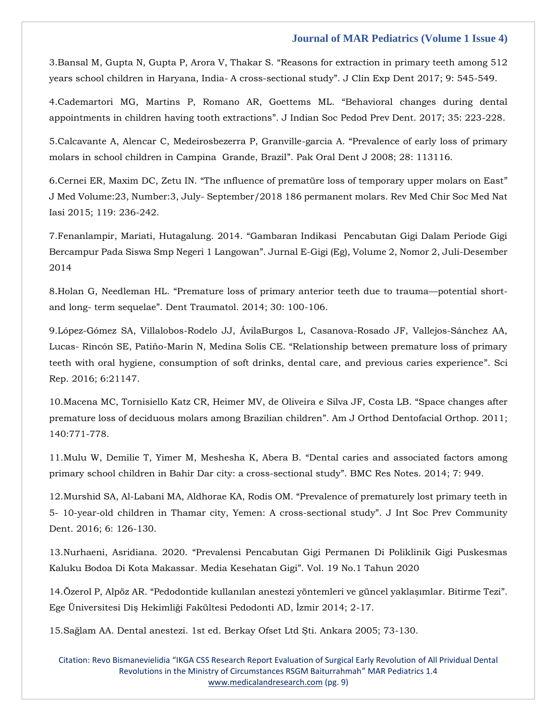3.Bansal M, Gupta N, Gupta P, Arora V, Thakar S. "[Reasons for extraction in primary teeth among 512](https://www.google.com/search?q=Reasons+for+extraction+in+primary+teeth+among+512+years+school+children+in+Haryana%2C+India-+A+cross-sectional+study&sxsrf=AOaemvL0gaAqaocaeM6-mCT1XV61yke6ow%3A1637577049334&ei=WXGbYeLxE_TA3LUP-fSNgAc&ved=0ahUKEwiigsXy4av0AhV0ILcAHXl6A3AQ4dUDCA4&uact=5&oq=Reasons+for+extraction+in+primary+teeth+among+512+years+school+children+in+Haryana%2C+India-+A+cross-sectional+study&gs_lcp=Cgdnd3Mtd2l6EAMyBwgjEOoCECcyBwgjEOoCECcyBwgjEOoCECcyBwgjEOoCECcyBwgjEOoCECcyBwgjEOoCECcyBwgjEOoCECcyBwgjEOoCECcyBwgjEOoCECcyBwgjEOoCECdKBAhBGABQmAZYmAZgiBJoAXAAeACAAQCIAQCSAQCYAQCgAQGgAQKwAQrAAQE&sclient=gws-wiz)  [years school children in Haryana, India-](https://www.google.com/search?q=Reasons+for+extraction+in+primary+teeth+among+512+years+school+children+in+Haryana%2C+India-+A+cross-sectional+study&sxsrf=AOaemvL0gaAqaocaeM6-mCT1XV61yke6ow%3A1637577049334&ei=WXGbYeLxE_TA3LUP-fSNgAc&ved=0ahUKEwiigsXy4av0AhV0ILcAHXl6A3AQ4dUDCA4&uact=5&oq=Reasons+for+extraction+in+primary+teeth+among+512+years+school+children+in+Haryana%2C+India-+A+cross-sectional+study&gs_lcp=Cgdnd3Mtd2l6EAMyBwgjEOoCECcyBwgjEOoCECcyBwgjEOoCECcyBwgjEOoCECcyBwgjEOoCECcyBwgjEOoCECcyBwgjEOoCECcyBwgjEOoCECcyBwgjEOoCECcyBwgjEOoCECdKBAhBGABQmAZYmAZgiBJoAXAAeACAAQCIAQCSAQCYAQCgAQGgAQKwAQrAAQE&sclient=gws-wiz) A cross-sectional study". J Clin Exp Dent 2017; 9: 545-549.

4[.Cademartori MG, Martins P, Romano AR, Goettems ML.](https://www.google.com/search?q=Behavioral+changes+during+dental+appointments+in+children+having+tooth+extractions&sxsrf=AOaemvLj5PNJTGGuncGGkedeG3EP8Y3Orw%3A1637577087146&ei=f3GbYYGcCMXaz7sP9r-zqAg&ved=0ahUKEwjB18iE4qv0AhVF7XMBHfbfDIUQ4dUDCA4&uact=5&oq=Behavioral+changes+during+dental+appointments+in+children+having+tooth+extractions&gs_lcp=Cgdnd3Mtd2l6EAM6BwgjEOoCECdKBAhBGABQwQZYwQZg-wloAXACeACAAd0BiAHdAZIBAzItMZgBAKABAaABArABCsABAQ&sclient=gws-wiz) "Behavioral changes during dental appointments in children having tooth extractions"[. J Indian Soc Pedod Prev Dent. 2017; 35: 223-228.](https://www.google.com/search?q=Behavioral+changes+during+dental+appointments+in+children+having+tooth+extractions&sxsrf=AOaemvLj5PNJTGGuncGGkedeG3EP8Y3Orw%3A1637577087146&ei=f3GbYYGcCMXaz7sP9r-zqAg&ved=0ahUKEwjB18iE4qv0AhVF7XMBHfbfDIUQ4dUDCA4&uact=5&oq=Behavioral+changes+during+dental+appointments+in+children+having+tooth+extractions&gs_lcp=Cgdnd3Mtd2l6EAM6BwgjEOoCECdKBAhBGABQwQZYwQZg-wloAXACeACAAd0BiAHdAZIBAzItMZgBAKABAaABArABCsABAQ&sclient=gws-wiz)

5[.Calcavante A, Alencar C, Medeirosbezerra P, Granville-garcia A.](https://www.google.com/search?q=Prevalence+of+early+loss+of+primary+molars+in+school+children+in+Campina++Grande%2C+Brazil&sxsrf=AOaemvJOT0SRYEMd9ro3njzKkUWE4M5MTg%3A1637577130866&ei=qnGbYfOMNLLaz7sP_7mjyAw&ved=0ahUKEwjzibWZ4qv0AhUy7XMBHf_cCMkQ4dUDCA4&uact=5&oq=Prevalence+of+early+loss+of+primary+molars+in+school+children+in+Campina++Grande%2C+Brazil&gs_lcp=Cgdnd3Mtd2l6EAM6BwgjEOoCECdKBAhBGABQwAVYwAVgrwhoAXAAeACAAboBiAG6AZIBAzAuMZgBAKABAaABArABCsABAQ&sclient=gws-wiz) "Prevalence of early loss of primary [molars in school children in Campina Grande, Brazil](https://www.google.com/search?q=Prevalence+of+early+loss+of+primary+molars+in+school+children+in+Campina++Grande%2C+Brazil&sxsrf=AOaemvJOT0SRYEMd9ro3njzKkUWE4M5MTg%3A1637577130866&ei=qnGbYfOMNLLaz7sP_7mjyAw&ved=0ahUKEwjzibWZ4qv0AhUy7XMBHf_cCMkQ4dUDCA4&uact=5&oq=Prevalence+of+early+loss+of+primary+molars+in+school+children+in+Campina++Grande%2C+Brazil&gs_lcp=Cgdnd3Mtd2l6EAM6BwgjEOoCECdKBAhBGABQwAVYwAVgrwhoAXAAeACAAboBiAG6AZIBAzAuMZgBAKABAaABArABCsABAQ&sclient=gws-wiz)". Pak Oral Dent J 2008; 28: 113116.

6.Cernei ER, Maxim DC, Zetu IN. ["The ınfluence of prematüre loss of temporary upper molars on East"](https://www.google.com/search?q=The+%C4%B1nfluence+of+premat%C3%BCre+loss+of+temporary+upper+molars+on+East&sxsrf=AOaemvIin-sT86mjXwxi5I9ygoC-nZkKcg%3A1637577156557&ei=xHGbYa2-Ibjtz7sPrNSJ4Ak&ved=0ahUKEwitsNWl4qv0AhW49nMBHSxqApwQ4dUDCA4&uact=5&oq=The+%C4%B1nfluence+of+premat%C3%BCre+loss+of+temporary+upper+molars+on+East&gs_lcp=Cgdnd3Mtd2l6EAM6BwgjEOoCECdKBAhBGABQmAZYmAZg1QloAXAAeACAAeIBiAHiAZIBAzItMZgBAKABAaABArABCsABAQ&sclient=gws-wiz) J Med Volume:23, Number:3, July- [September/2018 186 permanent molars. Rev](https://www.google.com/search?q=The+%C4%B1nfluence+of+premat%C3%BCre+loss+of+temporary+upper+molars+on+East&sxsrf=AOaemvIin-sT86mjXwxi5I9ygoC-nZkKcg%3A1637577156557&ei=xHGbYa2-Ibjtz7sPrNSJ4Ak&ved=0ahUKEwitsNWl4qv0AhW49nMBHSxqApwQ4dUDCA4&uact=5&oq=The+%C4%B1nfluence+of+premat%C3%BCre+loss+of+temporary+upper+molars+on+East&gs_lcp=Cgdnd3Mtd2l6EAM6BwgjEOoCECdKBAhBGABQmAZYmAZg1QloAXAAeACAAeIBiAHiAZIBAzItMZgBAKABAaABArABCsABAQ&sclient=gws-wiz) Med Chir Soc Med Nat [Iasi 2015; 119: 236-242.](https://www.google.com/search?q=The+%C4%B1nfluence+of+premat%C3%BCre+loss+of+temporary+upper+molars+on+East&sxsrf=AOaemvIin-sT86mjXwxi5I9ygoC-nZkKcg%3A1637577156557&ei=xHGbYa2-Ibjtz7sPrNSJ4Ak&ved=0ahUKEwitsNWl4qv0AhW49nMBHSxqApwQ4dUDCA4&uact=5&oq=The+%C4%B1nfluence+of+premat%C3%BCre+loss+of+temporary+upper+molars+on+East&gs_lcp=Cgdnd3Mtd2l6EAM6BwgjEOoCECdKBAhBGABQmAZYmAZg1QloAXAAeACAAeIBiAHiAZIBAzItMZgBAKABAaABArABCsABAQ&sclient=gws-wiz)

7.Fenanlampir, Mariati, Hutagalung. 2014. "[Gambaran Indikasi Pencabutan Gigi Dalam Periode Gigi](https://www.google.com/search?q=Gambaran+Indikasi++Pencabutan+Gigi+Dalam+Periode+Gigi+Bercampur+Pada+Siswa+Smp+Negeri+1+Langowan&sxsrf=AOaemvLjDTI3eBdcAwUsrpB-Z7_VXCdVww%3A1637577189136&ei=5XGbYevgB4Wb4t4Pk-e0sAQ&ved=0ahUKEwir55m14qv0AhWFjdgFHZMzDUYQ4dUDCA4&uact=5&oq=Gambaran+Indikasi++Pencabutan+Gigi+Dalam+Periode+Gigi+Bercampur+Pada+Siswa+Smp+Negeri+1+Langowan&gs_lcp=Cgdnd3Mtd2l6EAM6BwgjEOoCECdKBAhBGABQ6AVY6AVguAhoAXAAeACAAdkBiAHZAZIBAzItMZgBAKABAaABArABCsABAQ&sclient=gws-wiz)  Bercampur Pada Siswa Smp Negeri 1 Langowan"[. Jurnal E-Gigi \(Eg\), Volume 2, Nomor 2, Juli-Desember](https://www.google.com/search?q=Gambaran+Indikasi++Pencabutan+Gigi+Dalam+Periode+Gigi+Bercampur+Pada+Siswa+Smp+Negeri+1+Langowan&sxsrf=AOaemvLjDTI3eBdcAwUsrpB-Z7_VXCdVww%3A1637577189136&ei=5XGbYevgB4Wb4t4Pk-e0sAQ&ved=0ahUKEwir55m14qv0AhWFjdgFHZMzDUYQ4dUDCA4&uact=5&oq=Gambaran+Indikasi++Pencabutan+Gigi+Dalam+Periode+Gigi+Bercampur+Pada+Siswa+Smp+Negeri+1+Langowan&gs_lcp=Cgdnd3Mtd2l6EAM6BwgjEOoCECdKBAhBGABQ6AVY6AVguAhoAXAAeACAAdkBiAHZAZIBAzItMZgBAKABAaABArABCsABAQ&sclient=gws-wiz)  [2014](https://www.google.com/search?q=Gambaran+Indikasi++Pencabutan+Gigi+Dalam+Periode+Gigi+Bercampur+Pada+Siswa+Smp+Negeri+1+Langowan&sxsrf=AOaemvLjDTI3eBdcAwUsrpB-Z7_VXCdVww%3A1637577189136&ei=5XGbYevgB4Wb4t4Pk-e0sAQ&ved=0ahUKEwir55m14qv0AhWFjdgFHZMzDUYQ4dUDCA4&uact=5&oq=Gambaran+Indikasi++Pencabutan+Gigi+Dalam+Periode+Gigi+Bercampur+Pada+Siswa+Smp+Negeri+1+Langowan&gs_lcp=Cgdnd3Mtd2l6EAM6BwgjEOoCECdKBAhBGABQ6AVY6AVguAhoAXAAeACAAdkBiAHZAZIBAzItMZgBAKABAaABArABCsABAQ&sclient=gws-wiz)

8.Holan G, Needleman HL. "[Premature loss of primary anterior teeth due to trauma](https://www.google.com/search?q=Premature+loss+of+primary+anterior+teeth+due+to+trauma%E2%80%94potential+short-+and+long-+term+sequelae&sxsrf=AOaemvLabLWpjo-yqs1yXmsRh1n4Hu_bcQ%3A1637577214548&ei=_nGbYfn7IOW_3LUPktii2Ag&ved=0ahUKEwj58qjB4qv0AhXlH7cAHRKsCIsQ4dUDCA4&uact=5&oq=Premature+loss+of+primary+anterior+teeth+due+to+trauma%E2%80%94potential+short-+and+long-+term+sequelae&gs_lcp=Cgdnd3Mtd2l6EAMyBwgjEOoCECcyBwgjEOoCECcyBwgjEOoCECcyBwgjEOoCECcyBwgjEOoCECcyBwgjEOoCECcyBwgjEOoCECcyBwgjEOoCECcyBwgjEOoCECcyBwgjEOoCECdKBAhBGABQgQZYgQZgtghoAXAAeACAAQCIAQCSAQCYAQCgAQGgAQKwAQrAAQE&sclient=gws-wiz)—potential shortand long- term sequelae"[. Dent Traumatol. 2014; 30: 100-106.](https://www.google.com/search?q=Premature+loss+of+primary+anterior+teeth+due+to+trauma%E2%80%94potential+short-+and+long-+term+sequelae&sxsrf=AOaemvLabLWpjo-yqs1yXmsRh1n4Hu_bcQ%3A1637577214548&ei=_nGbYfn7IOW_3LUPktii2Ag&ved=0ahUKEwj58qjB4qv0AhXlH7cAHRKsCIsQ4dUDCA4&uact=5&oq=Premature+loss+of+primary+anterior+teeth+due+to+trauma%E2%80%94potential+short-+and+long-+term+sequelae&gs_lcp=Cgdnd3Mtd2l6EAMyBwgjEOoCECcyBwgjEOoCECcyBwgjEOoCECcyBwgjEOoCECcyBwgjEOoCECcyBwgjEOoCECcyBwgjEOoCECcyBwgjEOoCECcyBwgjEOoCECcyBwgjEOoCECdKBAhBGABQgQZYgQZgtghoAXAAeACAAQCIAQCSAQCYAQCgAQGgAQKwAQrAAQE&sclient=gws-wiz)

9[.López-Gómez SA, Villalobos-Rodelo JJ, ÁvilaBurgos L, Casanova-Rosado JF, Vallejos-Sánchez AA,](https://www.google.com/search?q=Relationship+between+premature+loss+of+primary+teeth+with+oral+hygiene%2C+consumption+of+soft+drinks%2C+dental+care%2C+and+previous+caries+experience&sxsrf=AOaemvIblJ3UuN082jAa0-a0yJ_6dhb-fw%3A1637577238739&ei=FnKbYfu6LOi-3LUP64iJqA0&ved=0ahUKEwj7ne3M4qv0AhVoH7cAHWtEAtUQ4dUDCA4&uact=5&oq=Relationship+between+premature+loss+of+primary+teeth+with+oral+hygiene%2C+consumption+of+soft+drinks%2C+dental+care%2C+and+previous+caries+experience&gs_lcp=Cgdnd3Mtd2l6EAMyBwgjEOoCECcyBwgjEOoCECcyBwgjEOoCECcyBwgjEOoCECcyBwgjEOoCECcyBwgjEOoCECcyBwgjEOoCECcyBwgjEOoCECcyBwgjEOoCECcyBwgjEOoCECdKBAhBGABQ2wVY2wVguAhoAXACeACAAQCIAQCSAQCYAQCgAQGgAQKwAQrAAQE&sclient=gws-wiz)  Lucas- Rincón SE, Patiño-Marín N, Medina Solís CE. "[Relationship between premature loss of primary](https://www.google.com/search?q=Relationship+between+premature+loss+of+primary+teeth+with+oral+hygiene%2C+consumption+of+soft+drinks%2C+dental+care%2C+and+previous+caries+experience&sxsrf=AOaemvIblJ3UuN082jAa0-a0yJ_6dhb-fw%3A1637577238739&ei=FnKbYfu6LOi-3LUP64iJqA0&ved=0ahUKEwj7ne3M4qv0AhVoH7cAHWtEAtUQ4dUDCA4&uact=5&oq=Relationship+between+premature+loss+of+primary+teeth+with+oral+hygiene%2C+consumption+of+soft+drinks%2C+dental+care%2C+and+previous+caries+experience&gs_lcp=Cgdnd3Mtd2l6EAMyBwgjEOoCECcyBwgjEOoCECcyBwgjEOoCECcyBwgjEOoCECcyBwgjEOoCECcyBwgjEOoCECcyBwgjEOoCECcyBwgjEOoCECcyBwgjEOoCECcyBwgjEOoCECdKBAhBGABQ2wVY2wVguAhoAXACeACAAQCIAQCSAQCYAQCgAQGgAQKwAQrAAQE&sclient=gws-wiz)  [teeth with oral hygiene, consumption of soft drinks, dental care, and previous caries experience](https://www.google.com/search?q=Relationship+between+premature+loss+of+primary+teeth+with+oral+hygiene%2C+consumption+of+soft+drinks%2C+dental+care%2C+and+previous+caries+experience&sxsrf=AOaemvIblJ3UuN082jAa0-a0yJ_6dhb-fw%3A1637577238739&ei=FnKbYfu6LOi-3LUP64iJqA0&ved=0ahUKEwj7ne3M4qv0AhVoH7cAHWtEAtUQ4dUDCA4&uact=5&oq=Relationship+between+premature+loss+of+primary+teeth+with+oral+hygiene%2C+consumption+of+soft+drinks%2C+dental+care%2C+and+previous+caries+experience&gs_lcp=Cgdnd3Mtd2l6EAMyBwgjEOoCECcyBwgjEOoCECcyBwgjEOoCECcyBwgjEOoCECcyBwgjEOoCECcyBwgjEOoCECcyBwgjEOoCECcyBwgjEOoCECcyBwgjEOoCECcyBwgjEOoCECdKBAhBGABQ2wVY2wVguAhoAXACeACAAQCIAQCSAQCYAQCgAQGgAQKwAQrAAQE&sclient=gws-wiz)". Sci [Rep. 2016; 6:21147.](https://www.google.com/search?q=Relationship+between+premature+loss+of+primary+teeth+with+oral+hygiene%2C+consumption+of+soft+drinks%2C+dental+care%2C+and+previous+caries+experience&sxsrf=AOaemvIblJ3UuN082jAa0-a0yJ_6dhb-fw%3A1637577238739&ei=FnKbYfu6LOi-3LUP64iJqA0&ved=0ahUKEwj7ne3M4qv0AhVoH7cAHWtEAtUQ4dUDCA4&uact=5&oq=Relationship+between+premature+loss+of+primary+teeth+with+oral+hygiene%2C+consumption+of+soft+drinks%2C+dental+care%2C+and+previous+caries+experience&gs_lcp=Cgdnd3Mtd2l6EAMyBwgjEOoCECcyBwgjEOoCECcyBwgjEOoCECcyBwgjEOoCECcyBwgjEOoCECcyBwgjEOoCECcyBwgjEOoCECcyBwgjEOoCECcyBwgjEOoCECcyBwgjEOoCECdKBAhBGABQ2wVY2wVguAhoAXACeACAAQCIAQCSAQCYAQCgAQGgAQKwAQrAAQE&sclient=gws-wiz)

10[.Macena MC, Tornisiello Katz CR, Heimer MV, de Oliveira e Silva JF, Costa LB.](https://www.google.com/search?q=Space+changes+after+premature+loss+of+deciduous+molars+among+Brazilian+childre&sxsrf=AOaemvIpYftDcbtEU_YzREsxD0JKojMzJw%3A1637577267080&ei=M3KbYYGYBIGKmgfP6qTQBw&ved=0ahUKEwjB_a7a4qv0AhUBheYKHU81CXoQ4dUDCA4&uact=5&oq=Space+changes+after+premature+loss+of+deciduous+molars+among+Brazilian+childre&gs_lcp=Cgdnd3Mtd2l6EAM6BwgjEOoCECdKBAhBGABQ-gVY-gVg0ghoAXACeACAAfABiAHwAZIBAzItMZgBAKABAaABArABCsABAQ&sclient=gws-wiz) "Space changes after [premature loss of deciduous molars among Brazilian children](https://www.google.com/search?q=Space+changes+after+premature+loss+of+deciduous+molars+among+Brazilian+childre&sxsrf=AOaemvIpYftDcbtEU_YzREsxD0JKojMzJw%3A1637577267080&ei=M3KbYYGYBIGKmgfP6qTQBw&ved=0ahUKEwjB_a7a4qv0AhUBheYKHU81CXoQ4dUDCA4&uact=5&oq=Space+changes+after+premature+loss+of+deciduous+molars+among+Brazilian+childre&gs_lcp=Cgdnd3Mtd2l6EAM6BwgjEOoCECdKBAhBGABQ-gVY-gVg0ghoAXACeACAAfABiAHwAZIBAzItMZgBAKABAaABArABCsABAQ&sclient=gws-wiz)". Am J Orthod Dentofacial Orthop. 2011; [140:771-778.](https://www.google.com/search?q=Space+changes+after+premature+loss+of+deciduous+molars+among+Brazilian+childre&sxsrf=AOaemvIpYftDcbtEU_YzREsxD0JKojMzJw%3A1637577267080&ei=M3KbYYGYBIGKmgfP6qTQBw&ved=0ahUKEwjB_a7a4qv0AhUBheYKHU81CXoQ4dUDCA4&uact=5&oq=Space+changes+after+premature+loss+of+deciduous+molars+among+Brazilian+childre&gs_lcp=Cgdnd3Mtd2l6EAM6BwgjEOoCECdKBAhBGABQ-gVY-gVg0ghoAXACeACAAfABiAHwAZIBAzItMZgBAKABAaABArABCsABAQ&sclient=gws-wiz)

11[.Mulu W, Demilie T, Yimer M, Meshesha K, Abera B.](https://www.google.com/search?q=Dental+caries+and+associated+factors+among+primary+school+children+in+Bahir+Dar+city%3A+a+cross-sectional+study&sxsrf=AOaemvKYkjjnvIdwlwrE_eDkh99hWmNG5g%3A1637577314357&ei=YnKbYb2vFZSp4t4PlO2QiAU&ved=0ahUKEwi96PTw4qv0AhWUlNgFHZQ2BFEQ4dUDCA4&uact=5&oq=Dental+caries+and+associated+factors+among+primary+school+children+in+Bahir+Dar+city%3A+a+cross-sectional+study&gs_lcp=Cgdnd3Mtd2l6EAMyBwgjEOoCECcyBwgjEOoCECcyBwgjEOoCECcyBwgjEOoCECcyBwgjEOoCECcyBwgjEOoCECcyBwgjEOoCECcyBwgjEOoCECcyBwgjEOoCECcyBwgjEOoCECdKBAhBGABQogVYogVg1QdoAXAAeACAAQCIAQCSAQCYAQCgAQGgAQKwAQrAAQE&sclient=gws-wiz) "Dental caries and associated factors among [primary school children in Bahir Dar city: a cross-sectional study](https://www.google.com/search?q=Dental+caries+and+associated+factors+among+primary+school+children+in+Bahir+Dar+city%3A+a+cross-sectional+study&sxsrf=AOaemvKYkjjnvIdwlwrE_eDkh99hWmNG5g%3A1637577314357&ei=YnKbYb2vFZSp4t4PlO2QiAU&ved=0ahUKEwi96PTw4qv0AhWUlNgFHZQ2BFEQ4dUDCA4&uact=5&oq=Dental+caries+and+associated+factors+among+primary+school+children+in+Bahir+Dar+city%3A+a+cross-sectional+study&gs_lcp=Cgdnd3Mtd2l6EAMyBwgjEOoCECcyBwgjEOoCECcyBwgjEOoCECcyBwgjEOoCECcyBwgjEOoCECcyBwgjEOoCECcyBwgjEOoCECcyBwgjEOoCECcyBwgjEOoCECcyBwgjEOoCECdKBAhBGABQogVYogVg1QdoAXAAeACAAQCIAQCSAQCYAQCgAQGgAQKwAQrAAQE&sclient=gws-wiz)". BMC Res Notes. 2014; 7: 949.

12[.Murshid SA, Al-Labani MA, Aldhorae KA, Rodis OM.](https://www.google.com/search?q=Prevalence+of+prematurely+lost+primary+teeth+in+5-+10-year-old+children+in+Thamar+city%2C+Yemen%3A+A+cross-sectional+study&sxsrf=AOaemvL-fae-Y_JXnSzok8vBWK6-d4q9DA%3A1637577336915&ei=eHKbYYyuN6DWz7sPh-iXoA4&ved=0ahUKEwiMytX74qv0AhUg63MBHQf0BeQQ4dUDCA4&uact=5&oq=Prevalence+of+prematurely+lost+primary+teeth+in+5-+10-year-old+children+in+Thamar+city%2C+Yemen%3A+A+cross-sectional+study&gs_lcp=Cgdnd3Mtd2l6EAMyBwgjEOoCECcyBwgjEOoCECcyBwgjEOoCECcyBwgjEOoCECcyBwgjEOoCECcyBwgjEOoCECcyBwgjEOoCECcyBwgjEOoCECcyBwgjEOoCECcyBwgjEOoCECdKBAhBGABQ8QVY8QVgmghoAXAAeACAAQCIAQCSAQCYAQCgAQGgAQKwAQrAAQE&sclient=gws-wiz) "Prevalence of prematurely lost primary teeth in 5- [10-year-old children in Thamar city, Yemen: A cross-sectional study](https://www.google.com/search?q=Prevalence+of+prematurely+lost+primary+teeth+in+5-+10-year-old+children+in+Thamar+city%2C+Yemen%3A+A+cross-sectional+study&sxsrf=AOaemvL-fae-Y_JXnSzok8vBWK6-d4q9DA%3A1637577336915&ei=eHKbYYyuN6DWz7sPh-iXoA4&ved=0ahUKEwiMytX74qv0AhUg63MBHQf0BeQQ4dUDCA4&uact=5&oq=Prevalence+of+prematurely+lost+primary+teeth+in+5-+10-year-old+children+in+Thamar+city%2C+Yemen%3A+A+cross-sectional+study&gs_lcp=Cgdnd3Mtd2l6EAMyBwgjEOoCECcyBwgjEOoCECcyBwgjEOoCECcyBwgjEOoCECcyBwgjEOoCECcyBwgjEOoCECcyBwgjEOoCECcyBwgjEOoCECcyBwgjEOoCECcyBwgjEOoCECdKBAhBGABQ8QVY8QVgmghoAXAAeACAAQCIAQCSAQCYAQCgAQGgAQKwAQrAAQE&sclient=gws-wiz)". J Int Soc Prev Community [Dent. 2016; 6:](https://www.google.com/search?q=Prevalence+of+prematurely+lost+primary+teeth+in+5-+10-year-old+children+in+Thamar+city%2C+Yemen%3A+A+cross-sectional+study&sxsrf=AOaemvL-fae-Y_JXnSzok8vBWK6-d4q9DA%3A1637577336915&ei=eHKbYYyuN6DWz7sPh-iXoA4&ved=0ahUKEwiMytX74qv0AhUg63MBHQf0BeQQ4dUDCA4&uact=5&oq=Prevalence+of+prematurely+lost+primary+teeth+in+5-+10-year-old+children+in+Thamar+city%2C+Yemen%3A+A+cross-sectional+study&gs_lcp=Cgdnd3Mtd2l6EAMyBwgjEOoCECcyBwgjEOoCECcyBwgjEOoCECcyBwgjEOoCECcyBwgjEOoCECcyBwgjEOoCECcyBwgjEOoCECcyBwgjEOoCECcyBwgjEOoCECcyBwgjEOoCECdKBAhBGABQ8QVY8QVgmghoAXAAeACAAQCIAQCSAQCYAQCgAQGgAQKwAQrAAQE&sclient=gws-wiz) 126-130.

13.Nurhaeni, Asridiana. 2020. "[Prevalensi Pencabutan Gigi Permanen Di Poliklinik Gigi Puskesmas](https://www.google.com/search?q=Prevalensi+Pencabutan+Gigi+Permanen+Di+Poliklinik+Gigi+Puskesmas+Kaluku+Bodoa+Di+Kota+Makassar.+Media+Kesehatan+Gigi&sxsrf=AOaemvJmJ8PllIhshxKJloEBZXX6oN4qXA%3A1637577367122&ei=l3KbYbHzBvPXz7sPlpq32Ac&ved=0ahUKEwjxmomK46v0AhXz63MBHRbNDXsQ4dUDCA4&uact=5&oq=Prevalensi+Pencabutan+Gigi+Permanen+Di+Poliklinik+Gigi+Puskesmas+Kaluku+Bodoa+Di+Kota+Makassar.+Media+Kesehatan+Gigi&gs_lcp=Cgdnd3Mtd2l6EAMyBwgjEOoCECcyBwgjEOoCECcyBwgjEOoCECcyBwgjEOoCECcyBwgjEOoCECcyBwgjEOoCECcyBwgjEOoCECcyBwgjEOoCECcyBwgjEOoCECcyBwgjEOoCECdKBAhBGABQwQVYwQVg_AdoAXACeACAAQCIAQCSAQCYAQCgAQGgAQKwAQrAAQE&sclient=gws-wiz)  [Kaluku Bodoa Di Kota Makassar. Media Kesehatan Gigi](https://www.google.com/search?q=Prevalensi+Pencabutan+Gigi+Permanen+Di+Poliklinik+Gigi+Puskesmas+Kaluku+Bodoa+Di+Kota+Makassar.+Media+Kesehatan+Gigi&sxsrf=AOaemvJmJ8PllIhshxKJloEBZXX6oN4qXA%3A1637577367122&ei=l3KbYbHzBvPXz7sPlpq32Ac&ved=0ahUKEwjxmomK46v0AhXz63MBHRbNDXsQ4dUDCA4&uact=5&oq=Prevalensi+Pencabutan+Gigi+Permanen+Di+Poliklinik+Gigi+Puskesmas+Kaluku+Bodoa+Di+Kota+Makassar.+Media+Kesehatan+Gigi&gs_lcp=Cgdnd3Mtd2l6EAMyBwgjEOoCECcyBwgjEOoCECcyBwgjEOoCECcyBwgjEOoCECcyBwgjEOoCECcyBwgjEOoCECcyBwgjEOoCECcyBwgjEOoCECcyBwgjEOoCECcyBwgjEOoCECdKBAhBGABQwQVYwQVg_AdoAXACeACAAQCIAQCSAQCYAQCgAQGgAQKwAQrAAQE&sclient=gws-wiz)". Vol. 19 No.1 Tahun 2020

14.Özerol P, Alpöz AR. ["Pedodontide kullanılan anestezi yöntemleri ve](https://www.google.com/search?q=Pedodontide+kullan%C4%B1lan+anestezi+y%C3%B6ntemleri+ve+g%C3%BCncel+yakla%C5%9F%C4%B1mlar.+Bitirme+Tezi&sxsrf=AOaemvLkfphr98Oz7zDTt9qMHJzWwFKCjQ%3A1637577389953&ei=rXKbYaq8OeHaz7sPqrKL6Ao&ved=0ahUKEwjqxvqU46v0AhVh7XMBHSrZAq0Q4dUDCA4&uact=5&oq=Pedodontide+kullan%C4%B1lan+anestezi+y%C3%B6ntemleri+ve+g%C3%BCncel+yakla%C5%9F%C4%B1mlar.+Bitirme+Tezi&gs_lcp=Cgdnd3Mtd2l6EAM6BwgjEOoCECdKBAhBGABQ_AVY_AVgyAhoAXAAeACAAe0BiAHtAZIBAzItMZgBAKABAaABArABCsABAQ&sclient=gws-wiz) güncel yaklaşımlar. Bitirme Tezi". [Ege Üniversitesi Diş Hekimliği Fakültesi Pedodonti AD, İzmir 2014; 2](https://www.google.com/search?q=Pedodontide+kullan%C4%B1lan+anestezi+y%C3%B6ntemleri+ve+g%C3%BCncel+yakla%C5%9F%C4%B1mlar.+Bitirme+Tezi&sxsrf=AOaemvLkfphr98Oz7zDTt9qMHJzWwFKCjQ%3A1637577389953&ei=rXKbYaq8OeHaz7sPqrKL6Ao&ved=0ahUKEwjqxvqU46v0AhVh7XMBHSrZAq0Q4dUDCA4&uact=5&oq=Pedodontide+kullan%C4%B1lan+anestezi+y%C3%B6ntemleri+ve+g%C3%BCncel+yakla%C5%9F%C4%B1mlar.+Bitirme+Tezi&gs_lcp=Cgdnd3Mtd2l6EAM6BwgjEOoCECdKBAhBGABQ_AVY_AVgyAhoAXAAeACAAe0BiAHtAZIBAzItMZgBAKABAaABArABCsABAQ&sclient=gws-wiz)-17.

15.[Sağlam AA. Dental anestezi. 1st ed. Berkay Ofset Ltd Şti. Ankara 2005; 73](https://www.google.com/search?q=Sa%C4%9Flam+AA.+Dental+anestezi.+1st+ed.+Berkay+Ofset+Ltd+%C5%9Eti.+Ankara+2005%3B+73-130.&sxsrf=AOaemvKFRnR9JEggmx2pZI5LdvYvro0yWA%3A1637577416549&ei=yHKbYfb8INftz7sP6ISUqAY&ved=0ahUKEwj2gNKh46v0AhXX9nMBHWgCBWUQ4dUDCA4&uact=5&oq=Sa%C4%9Flam+AA.+Dental+anestezi.+1st+ed.+Berkay+Ofset+Ltd+%C5%9Eti.+Ankara+2005%3B+73-130.&gs_lcp=Cgdnd3Mtd2l6EAM6BwgjEOoCECdKBAhBGABQzgVYzgVgnghoAXAAeACAAb0CiAG9ApIBAzMtMZgBAKABAaABArABCsABAQ&sclient=gws-wiz)-130.

Citation: Revo Bismanevielidia "IKGA CSS Research Report Evaluation of Surgical Early Revolution of All Prividual Dental Revolutions in the Ministry of Circumstances RSGM Baiturrahmah" MAR Pediatrics 1.4 [www.medicalandresearch.com](http://www.medicalandresearch.com/) (pg. 9)